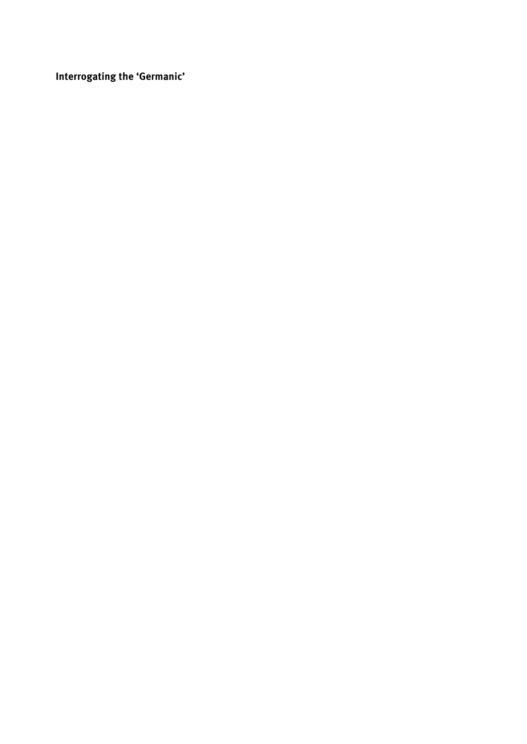Interrogating the 'Germanic'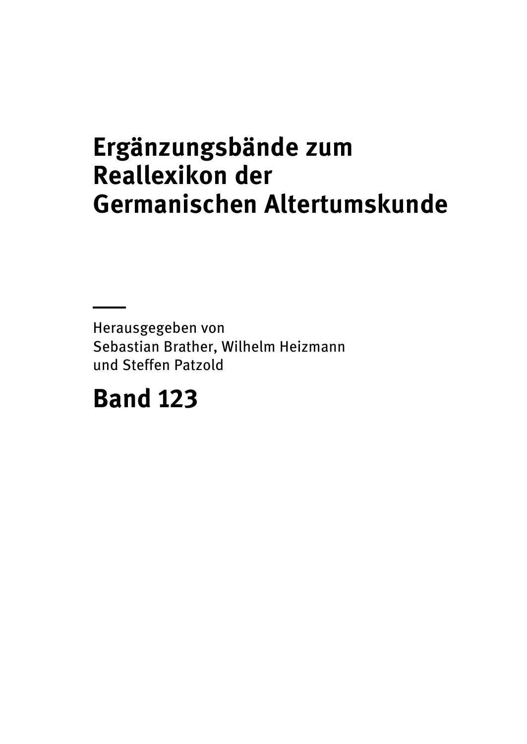## Ergänzungsbände zum Reallexikon der Germanischen Altertumskunde

Herausgegeben von Sebastian Brather, Wilhelm Heizmann und Steffen Patzold

## Band 123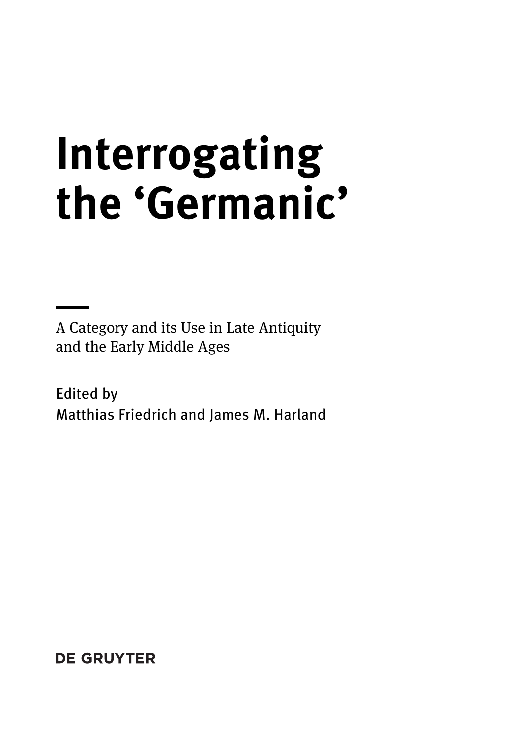# Interrogating the 'Germanic'

A Category and its Use in Late Antiquity and the Early Middle Ages

Edited by Matthias Friedrich and James M. Harland

**DE GRUYTER**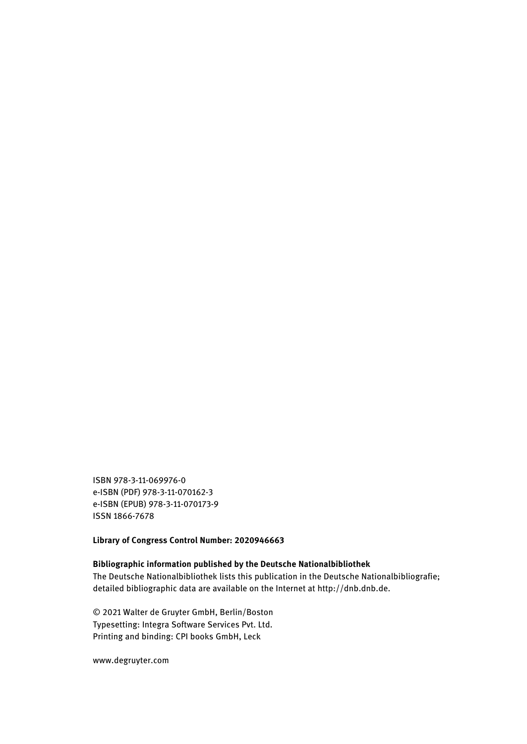ISBN 978-3-11-069976-0 e-ISBN (PDF) 978-3-11-070162-3 e-ISBN (EPUB) 978-3-11-070173-9 ISSN 1866-7678

Library of Congress Control Number: 2020946663

#### Bibliographic information published by the Deutsche Nationalbibliothek

The Deutsche Nationalbibliothek lists this publication in the Deutsche Nationalbibliografie; detailed bibliographic data are available on the Internet at [http://dnb.dnb.de.](http://dnb.dnb.de)

© 2021 Walter de Gruyter GmbH, Berlin/Boston Typesetting: Integra Software Services Pvt. Ltd. Printing and binding: CPI books GmbH, Leck

[www.degruyter.com](http://www.degruyter.com)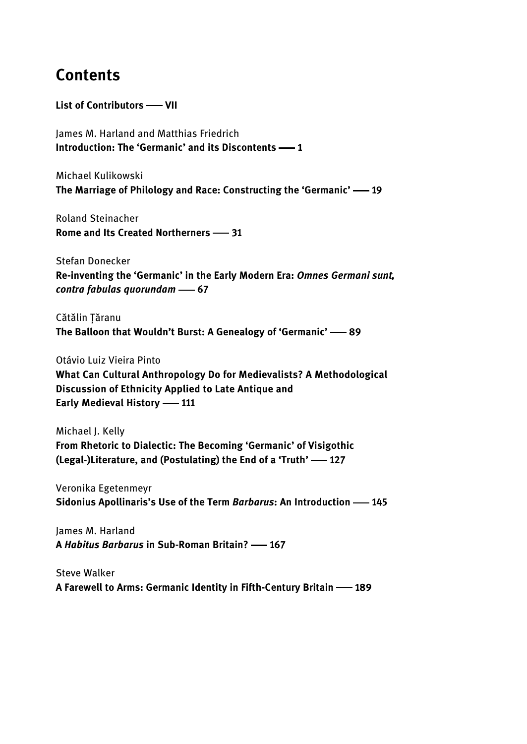#### Contents

List of Contributors - VII

James M. Harland and Matthias Friedrich Introduction: The 'Germanic' and its Discontents -- 1

Michael Kulikowski The Marriage of Philology and Race: Constructing the 'Germanic' - 19

Roland Steinacher Rome and Its Created Northerners -31

Stefan Donecker Re-inventing the 'Germanic' in the Early Modern Era: Omnes Germani sunt, contra fabulas quorundam -67

Cătălin Țăranu The Balloon that Wouldn't Burst: A Genealogy of 'Germanic' -89

Otávio Luiz Vieira Pinto What Can Cultural Anthropology Do for Medievalists? A Methodological Discussion of Ethnicity Applied to Late Antique and Early Medieval History -111

Michael J. Kelly From Rhetoric to Dialectic: The Becoming 'Germanic' of Visigothic (Legal-)Literature, and (Postulating) the End of a 'Truth' -127

Veronika Egetenmeyr Sidonius Apollinaris's Use of the Term Barbarus: An Introduction -- 145

James M. Harland A Habitus Barbarus in Sub-Roman Britain? -167

Steve Walker A Farewell to Arms: Germanic Identity in Fifth-Century Britain 189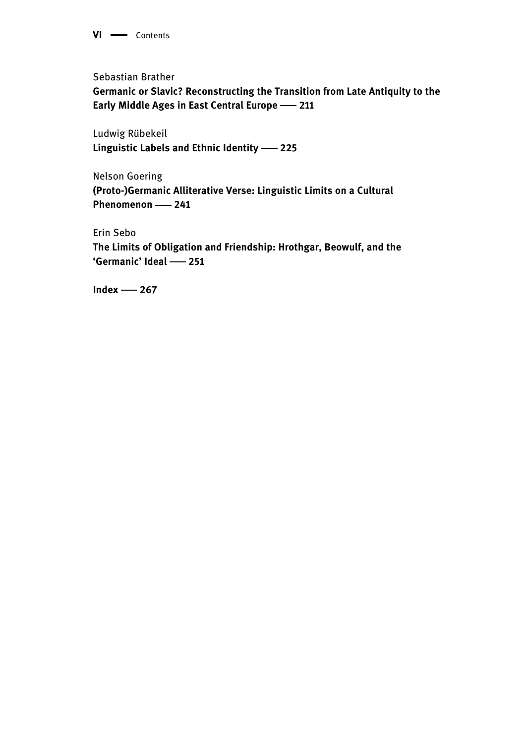VI - Contents

Sebastian Brather

Germanic or Slavic? Reconstructing the Transition from Late Antiquity to the Early Middle Ages in East Central Europe -211

Ludwig Rübekeil Linguistic Labels and Ethnic Identity -225

Nelson Goering (Proto-)Germanic Alliterative Verse: Linguistic Limits on a Cultural Phenomenon - 241

Erin Sebo The Limits of Obligation and Friendship: Hrothgar, Beowulf, and the 'Germanic' Ideal -251

 $Index -267$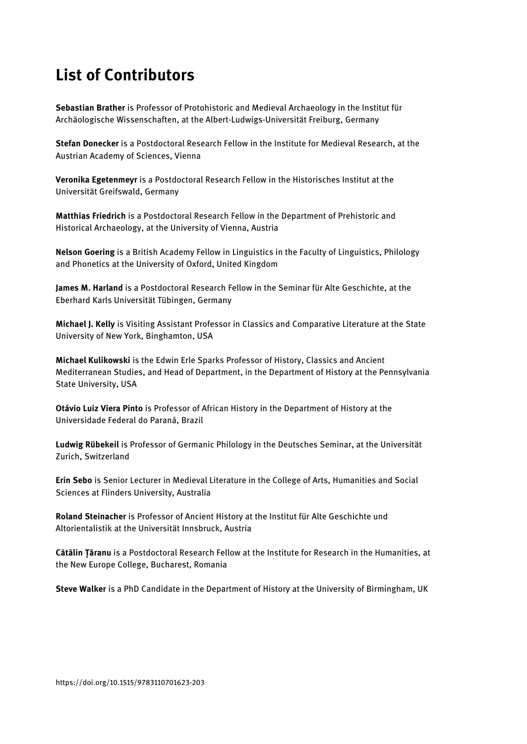### List of Contributors

Sebastian Brather is Professor of Protohistoric and Medieval Archaeology in the Institut für Archäologische Wissenschaften, at the Albert-Ludwigs-Universität Freiburg, Germany

Stefan Donecker is a Postdoctoral Research Fellow in the Institute for Medieval Research, at the Austrian Academy of Sciences, Vienna

Veronika Egetenmeyr is a Postdoctoral Research Fellow in the Historisches Institut at the Universität Greifswald, Germany

Matthias Friedrich is a Postdoctoral Research Fellow in the Department of Prehistoric and Historical Archaeology, at the University of Vienna, Austria

Nelson Goering is a British Academy Fellow in Linguistics in the Faculty of Linguistics, Philology and Phonetics at the University of Oxford, United Kingdom

James M. Harland is a Postdoctoral Research Fellow in the Seminar für Alte Geschichte, at the Eberhard Karls Universität Tübingen, Germany

Michael J. Kelly is Visiting Assistant Professor in Classics and Comparative Literature at the State University of New York, Binghamton, USA

Michael Kulikowski is the Edwin Erle Sparks Professor of History, Classics and Ancient Mediterranean Studies, and Head of Department, in the Department of History at the Pennsylvania State University, USA

Otávio Luiz Viera Pinto is Professor of African History in the Department of History at the Universidade Federal do Paraná, Brazil

Ludwig Rübekeil is Professor of Germanic Philology in the Deutsches Seminar, at the Universität Zurich, Switzerland

Erin Sebo is Senior Lecturer in Medieval Literature in the College of Arts, Humanities and Social Sciences at Flinders University, Australia

Roland Steinacher is Professor of Ancient History at the Institut für Alte Geschichte und Altorientalistik at the Universität Innsbruck, Austria

Cătălin Tăranu is a Postdoctoral Research Fellow at the Institute for Research in the Humanities, at the New Europe College, Bucharest, Romania

Steve Walker is a PhD Candidate in the Department of History at the University of Birmingham, UK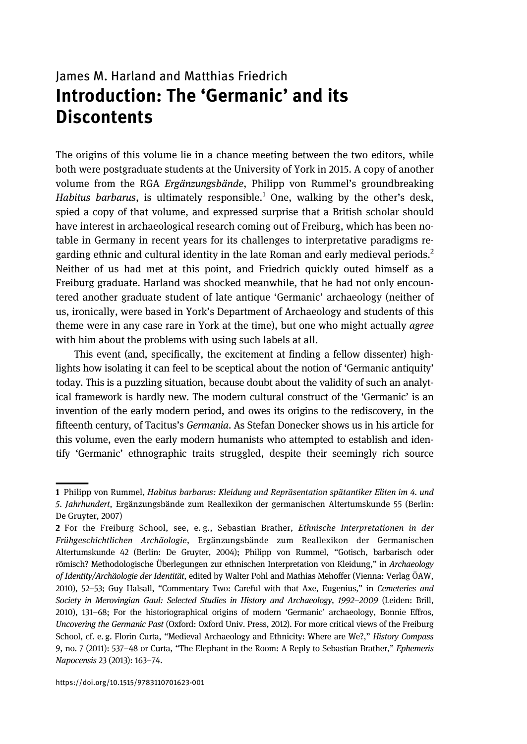#### James M. Harland and Matthias Friedrich Introduction: The 'Germanic' and its **Discontents**

The origins of this volume lie in a chance meeting between the two editors, while both were postgraduate students at the University of York in 2015. A copy of another volume from the RGA Ergänzungsbände, Philipp von Rummel's groundbreaking Habitus barbarus, is ultimately responsible.<sup>1</sup> One, walking by the other's desk, spied a copy of that volume, and expressed surprise that a British scholar should have interest in archaeological research coming out of Freiburg, which has been notable in Germany in recent years for its challenges to interpretative paradigms regarding ethnic and cultural identity in the late Roman and early medieval periods.<sup>2</sup> Neither of us had met at this point, and Friedrich quickly outed himself as a Freiburg graduate. Harland was shocked meanwhile, that he had not only encountered another graduate student of late antique 'Germanic' archaeology (neither of us, ironically, were based in York's Department of Archaeology and students of this theme were in any case rare in York at the time), but one who might actually *agree* with him about the problems with using such labels at all.

This event (and, specifically, the excitement at finding a fellow dissenter) highlights how isolating it can feel to be sceptical about the notion of 'Germanic antiquity' today. This is a puzzling situation, because doubt about the validity of such an analytical framework is hardly new. The modern cultural construct of the 'Germanic' is an invention of the early modern period, and owes its origins to the rediscovery, in the fifteenth century, of Tacitus's Germania. As Stefan Donecker shows us in his article for this volume, even the early modern humanists who attempted to establish and identify 'Germanic' ethnographic traits struggled, despite their seemingly rich source

<sup>1</sup> Philipp von Rummel, Habitus barbarus: Kleidung und Repräsentation spätantiker Eliten im 4. und 5. Jahrhundert, Ergänzungsbände zum Reallexikon der germanischen Altertumskunde 55 (Berlin: De Gruyter, 2007)

<sup>2</sup> For the Freiburg School, see, e.g., Sebastian Brather, Ethnische Interpretationen in der Frühgeschichtlichen Archäologie, Ergänzungsbände zum Reallexikon der Germanischen Altertumskunde 42 (Berlin: De Gruyter, 2004); Philipp von Rummel, "Gotisch, barbarisch oder römisch? Methodologische Überlegungen zur ethnischen Interpretation von Kleidung," in Archaeology of Identity/Archäologie der Identität, edited by Walter Pohl and Mathias Mehoffer (Vienna: Verlag ÖAW, 2010), 52–53; Guy Halsall, "Commentary Two: Careful with that Axe, Eugenius," in Cemeteries and Society in Merovingian Gaul: Selected Studies in History and Archaeology, 1992–2009 (Leiden: Brill, 2010), 131–68; For the historiographical origins of modern 'Germanic' archaeology, Bonnie Effros, Uncovering the Germanic Past (Oxford: Oxford Univ. Press, 2012). For more critical views of the Freiburg School, cf. e. g. Florin Curta, "Medieval Archaeology and Ethnicity: Where are We?," History Compass 9, no. 7 (2011): 537–48 or Curta, "The Elephant in the Room: A Reply to Sebastian Brather," Ephemeris Napocensis 23 (2013): 163–74.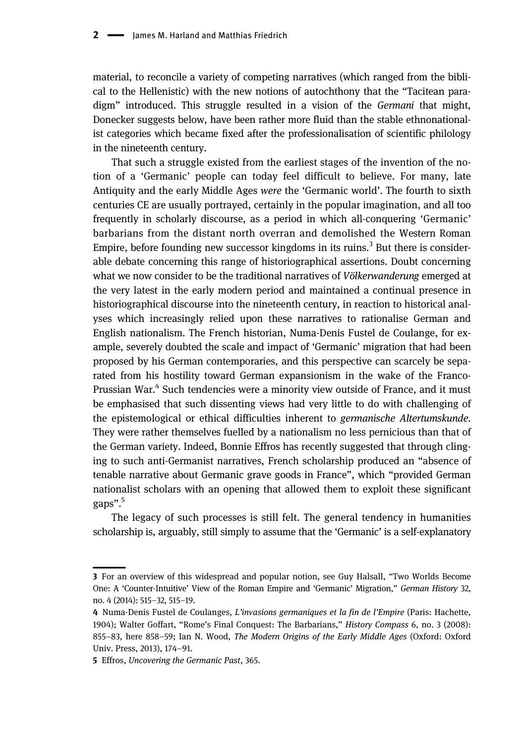material, to reconcile a variety of competing narratives (which ranged from the biblical to the Hellenistic) with the new notions of autochthony that the "Tacitean paradigm" introduced. This struggle resulted in a vision of the Germani that might, Donecker suggests below, have been rather more fluid than the stable ethnonationalist categories which became fixed after the professionalisation of scientific philology in the nineteenth century.

That such a struggle existed from the earliest stages of the invention of the notion of a 'Germanic' people can today feel difficult to believe. For many, late Antiquity and the early Middle Ages were the 'Germanic world'. The fourth to sixth centuries CE are usually portrayed, certainly in the popular imagination, and all too frequently in scholarly discourse, as a period in which all-conquering 'Germanic' barbarians from the distant north overran and demolished the Western Roman Empire, before founding new successor kingdoms in its ruins.<sup>3</sup> But there is considerable debate concerning this range of historiographical assertions. Doubt concerning what we now consider to be the traditional narratives of *Völkerwanderung* emerged at the very latest in the early modern period and maintained a continual presence in historiographical discourse into the nineteenth century, in reaction to historical analyses which increasingly relied upon these narratives to rationalise German and English nationalism. The French historian, Numa-Denis Fustel de Coulange, for example, severely doubted the scale and impact of 'Germanic' migration that had been proposed by his German contemporaries, and this perspective can scarcely be separated from his hostility toward German expansionism in the wake of the Franco-Prussian War.<sup>4</sup> Such tendencies were a minority view outside of France, and it must be emphasised that such dissenting views had very little to do with challenging of the epistemological or ethical difficulties inherent to germanische Altertumskunde. They were rather themselves fuelled by a nationalism no less pernicious than that of the German variety. Indeed, Bonnie Effros has recently suggested that through clinging to such anti-Germanist narratives, French scholarship produced an "absence of tenable narrative about Germanic grave goods in France", which "provided German nationalist scholars with an opening that allowed them to exploit these significant gaps". 5

The legacy of such processes is still felt. The general tendency in humanities scholarship is, arguably, still simply to assume that the 'Germanic' is a self-explanatory

<sup>3</sup> For an overview of this widespread and popular notion, see Guy Halsall, "Two Worlds Become One: A 'Counter-Intuitive' View of the Roman Empire and 'Germanic' Migration," German History 32, no. 4 (2014): 515–32, 515–19.

<sup>4</sup> Numa-Denis Fustel de Coulanges, L'invasions germaniques et la fin de l'Empire (Paris: Hachette, 1904); Walter Goffart, "Rome's Final Conquest: The Barbarians," History Compass 6, no. 3 (2008): 855–83, here 858–59; Ian N. Wood, The Modern Origins of the Early Middle Ages (Oxford: Oxford Univ. Press, 2013), 174–91.

<sup>5</sup> Effros, Uncovering the Germanic Past, 365.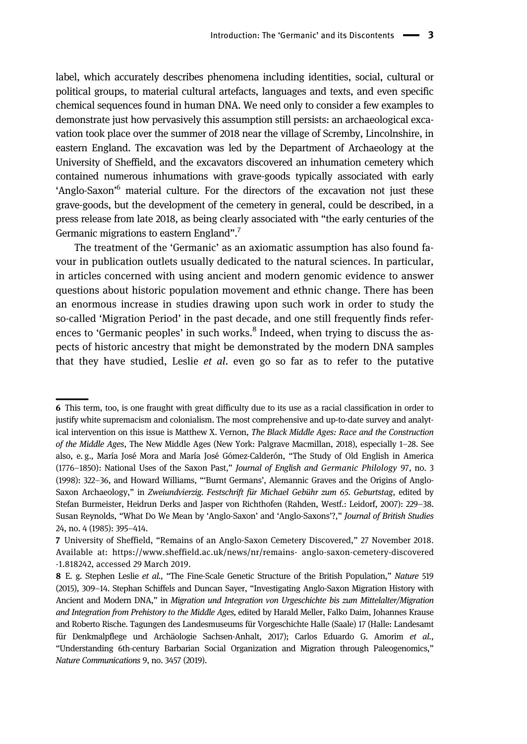label, which accurately describes phenomena including identities, social, cultural or political groups, to material cultural artefacts, languages and texts, and even specific chemical sequences found in human DNA. We need only to consider a few examples to demonstrate just how pervasively this assumption still persists: an archaeological excavation took place over the summer of 2018 near the village of Scremby, Lincolnshire, in eastern England. The excavation was led by the Department of Archaeology at the University of Sheffield, and the excavators discovered an inhumation cemetery which contained numerous inhumations with grave-goods typically associated with early 'Anglo-Saxon'<sup>6</sup> material culture. For the directors of the excavation not just these grave-goods, but the development of the cemetery in general, could be described, in a press release from late 2018, as being clearly associated with "the early centuries of the Germanic migrations to eastern England".<sup>7</sup>

The treatment of the 'Germanic' as an axiomatic assumption has also found favour in publication outlets usually dedicated to the natural sciences. In particular, in articles concerned with using ancient and modern genomic evidence to answer questions about historic population movement and ethnic change. There has been an enormous increase in studies drawing upon such work in order to study the so-called 'Migration Period' in the past decade, and one still frequently finds references to 'Germanic peoples' in such works. $8$  Indeed, when trying to discuss the aspects of historic ancestry that might be demonstrated by the modern DNA samples that they have studied, Leslie et al. even go so far as to refer to the putative

<sup>6</sup> This term, too, is one fraught with great difficulty due to its use as a racial classification in order to justify white supremacism and colonialism. The most comprehensive and up-to-date survey and analytical intervention on this issue is Matthew X. Vernon, The Black Middle Ages: Race and the Construction of the Middle Ages, The New Middle Ages (New York: Palgrave Macmillan, 2018), especially 1–28. See also, e. g., María José Mora and María José Gómez-Calderón, "The Study of Old English in America (1776–1850): National Uses of the Saxon Past," Journal of English and Germanic Philology 97, no. 3 (1998): 322–36, and Howard Williams, "'Burnt Germans', Alemannic Graves and the Origins of Anglo-Saxon Archaeology," in Zweiundvierzig. Festschrift für Michael Gebühr zum 65. Geburtstag, edited by Stefan Burmeister, Heidrun Derks and Jasper von Richthofen (Rahden, Westf.: Leidorf, 2007): 229–38. Susan Reynolds, "What Do We Mean by 'Anglo-Saxon' and 'Anglo-Saxons'?," Journal of British Studies 24, no. 4 (1985): 395–414.

<sup>7</sup> University of Sheffield, "Remains of an Anglo-Saxon Cemetery Discovered," 27 November 2018. Available at:<https://www.sheffield.ac.uk/news/nr/remains>- anglo-saxon-cemetery-discovered -1.818242, accessed 29 March 2019.

<sup>8</sup> E. g. Stephen Leslie et al., "The Fine-Scale Genetic Structure of the British Population," Nature 519 (2015), 309–14. Stephan Schiffels and Duncan Sayer, "Investigating Anglo-Saxon Migration History with Ancient and Modern DNA," in Migration und Integration von Urgeschichte bis zum Mittelalter/Migration and Integration from Prehistory to the Middle Ages, edited by Harald Meller, Falko Daim, Johannes Krause and Roberto Rische. Tagungen des Landesmuseums für Vorgeschichte Halle (Saale) 17 (Halle: Landesamt für Denkmalpflege und Archäologie Sachsen-Anhalt, 2017); Carlos Eduardo G. Amorim et al., "Understanding 6th-century Barbarian Social Organization and Migration through Paleogenomics," Nature Communications 9, no. 3457 (2019).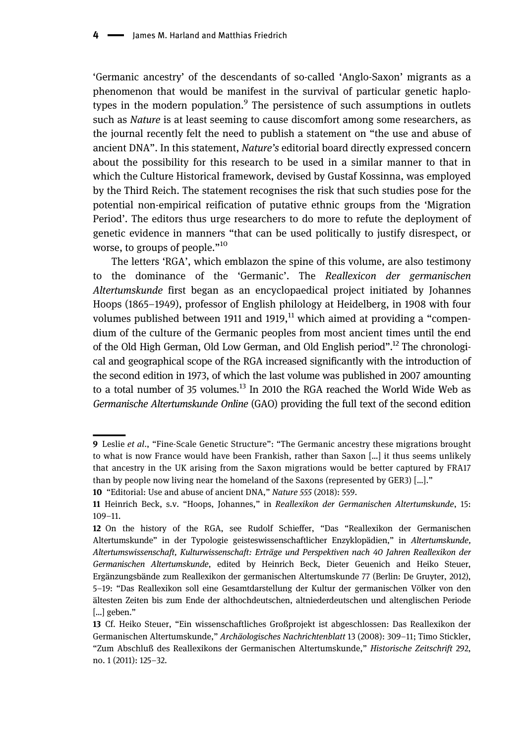'Germanic ancestry' of the descendants of so-called 'Anglo-Saxon' migrants as a phenomenon that would be manifest in the survival of particular genetic haplotypes in the modern population.<sup>9</sup> The persistence of such assumptions in outlets such as Nature is at least seeming to cause discomfort among some researchers, as the journal recently felt the need to publish a statement on "the use and abuse of ancient DNA". In this statement, *Nature's* editorial board directly expressed concern about the possibility for this research to be used in a similar manner to that in which the Culture Historical framework, devised by Gustaf Kossinna, was employed by the Third Reich. The statement recognises the risk that such studies pose for the potential non-empirical reification of putative ethnic groups from the 'Migration Period'. The editors thus urge researchers to do more to refute the deployment of genetic evidence in manners "that can be used politically to justify disrespect, or worse, to groups of people." $10<sup>10</sup>$ 

The letters 'RGA', which emblazon the spine of this volume, are also testimony to the dominance of the 'Germanic'. The Reallexicon der germanischen Altertumskunde first began as an encyclopaedical project initiated by Johannes Hoops (1865–1949), professor of English philology at Heidelberg, in 1908 with four volumes published between 1911 and 1919, $^{11}$  which aimed at providing a "compendium of the culture of the Germanic peoples from most ancient times until the end of the Old High German, Old Low German, and Old English period".<sup>12</sup> The chronological and geographical scope of the RGA increased significantly with the introduction of the second edition in 1973, of which the last volume was published in 2007 amounting to a total number of 35 volumes. $^{13}$  In 2010 the RGA reached the World Wide Web as Germanische Altertumskunde Online (GAO) providing the full text of the second edition

<sup>9</sup> Leslie et al., "Fine-Scale Genetic Structure": "The Germanic ancestry these migrations brought to what is now France would have been Frankish, rather than Saxon […] it thus seems unlikely that ancestry in the UK arising from the Saxon migrations would be better captured by FRA17 than by people now living near the homeland of the Saxons (represented by GER3) […]." 10 "Editorial: Use and abuse of ancient DNA," Nature 555 (2018): 559.

<sup>11</sup> Heinrich Beck, s.v. "Hoops, Johannes," in Reallexikon der Germanischen Altertumskunde, 15: 109–11.

<sup>12</sup> On the history of the RGA, see Rudolf Schieffer, "Das "Reallexikon der Germanischen Altertumskunde" in der Typologie geisteswissenschaftlicher Enzyklopädien," in Altertumskunde, Altertumswissenschaft, Kulturwissenschaft: Erträge und Perspektiven nach 40 Jahren Reallexikon der Germanischen Altertumskunde, edited by Heinrich Beck, Dieter Geuenich and Heiko Steuer, Ergänzungsbände zum Reallexikon der germanischen Altertumskunde 77 (Berlin: De Gruyter, 2012), 5–19: "Das Reallexikon soll eine Gesamtdarstellung der Kultur der germanischen Völker von den ältesten Zeiten bis zum Ende der althochdeutschen, altniederdeutschen und altenglischen Periode […] geben."

<sup>13</sup> Cf. Heiko Steuer, "Ein wissenschaftliches Großprojekt ist abgeschlossen: Das Reallexikon der Germanischen Altertumskunde," Archäologisches Nachrichtenblatt 13 (2008): 309–11; Timo Stickler, "Zum Abschluß des Reallexikons der Germanischen Altertumskunde," Historische Zeitschrift 292, no. 1 (2011): 125–32.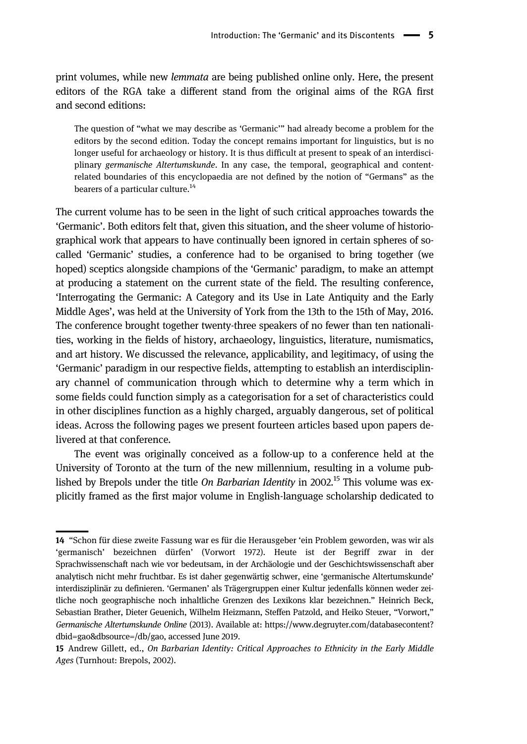print volumes, while new lemmata are being published online only. Here, the present editors of the RGA take a different stand from the original aims of the RGA first and second editions:

The question of "what we may describe as 'Germanic'" had already become a problem for the editors by the second edition. Today the concept remains important for linguistics, but is no longer useful for archaeology or history. It is thus difficult at present to speak of an interdisciplinary germanische Altertumskunde. In any case, the temporal, geographical and contentrelated boundaries of this encyclopaedia are not defined by the notion of "Germans" as the bearers of a particular culture.<sup>14</sup>

The current volume has to be seen in the light of such critical approaches towards the 'Germanic'. Both editors felt that, given this situation, and the sheer volume of historiographical work that appears to have continually been ignored in certain spheres of socalled 'Germanic' studies, a conference had to be organised to bring together (we hoped) sceptics alongside champions of the 'Germanic' paradigm, to make an attempt at producing a statement on the current state of the field. The resulting conference, 'Interrogating the Germanic: A Category and its Use in Late Antiquity and the Early Middle Ages', was held at the University of York from the 13th to the 15th of May, 2016. The conference brought together twenty-three speakers of no fewer than ten nationalities, working in the fields of history, archaeology, linguistics, literature, numismatics, and art history. We discussed the relevance, applicability, and legitimacy, of using the 'Germanic' paradigm in our respective fields, attempting to establish an interdisciplinary channel of communication through which to determine why a term which in some fields could function simply as a categorisation for a set of characteristics could in other disciplines function as a highly charged, arguably dangerous, set of political ideas. Across the following pages we present fourteen articles based upon papers delivered at that conference.

The event was originally conceived as a follow-up to a conference held at the University of Toronto at the turn of the new millennium, resulting in a volume published by Brepols under the title On Barbarian Identity in 2002.<sup>15</sup> This volume was explicitly framed as the first major volume in English-language scholarship dedicated to

<sup>14</sup> "Schon für diese zweite Fassung war es für die Herausgeber 'ein Problem geworden, was wir als 'germanisch' bezeichnen dürfen' (Vorwort 1972). Heute ist der Begriff zwar in der Sprachwissenschaft nach wie vor bedeutsam, in der Archäologie und der Geschichtswissenschaft aber analytisch nicht mehr fruchtbar. Es ist daher gegenwärtig schwer, eine 'germanische Altertumskunde' interdisziplinär zu definieren. 'Germanen' als Trägergruppen einer Kultur jedenfalls können weder zeitliche noch geographische noch inhaltliche Grenzen des Lexikons klar bezeichnen." Heinrich Beck, Sebastian Brather, Dieter Geuenich, Wilhelm Heizmann, Steffen Patzold, and Heiko Steuer, "Vorwort," Germanische Altertumskunde Online (2013). Available at: [https://www.degruyter.com/databasecontent?](https://www.degruyter.com/databasecontent?dbid%3Dgao%26dbsource%3D/db/gao) [dbid=gao&dbsource=/db/gao,](https://www.degruyter.com/databasecontent?dbid%3Dgao%26dbsource%3D/db/gao) accessed June 2019.

<sup>15</sup> Andrew Gillett, ed., On Barbarian Identity: Critical Approaches to Ethnicity in the Early Middle Ages (Turnhout: Brepols, 2002).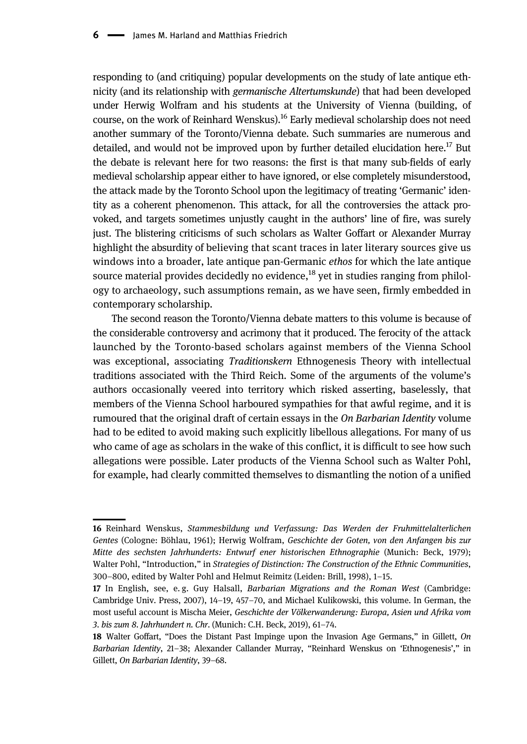responding to (and critiquing) popular developments on the study of late antique ethnicity (and its relationship with germanische Altertumskunde) that had been developed under Herwig Wolfram and his students at the University of Vienna (building, of course, on the work of Reinhard Wenskus).<sup>16</sup> Early medieval scholarship does not need another summary of the Toronto/Vienna debate. Such summaries are numerous and detailed, and would not be improved upon by further detailed elucidation here.<sup>17</sup> But the debate is relevant here for two reasons: the first is that many sub-fields of early medieval scholarship appear either to have ignored, or else completely misunderstood, the attack made by the Toronto School upon the legitimacy of treating 'Germanic' identity as a coherent phenomenon. This attack, for all the controversies the attack provoked, and targets sometimes unjustly caught in the authors' line of fire, was surely just. The blistering criticisms of such scholars as Walter Goffart or Alexander Murray highlight the absurdity of believing that scant traces in later literary sources give us windows into a broader, late antique pan-Germanic ethos for which the late antique source material provides decidedly no evidence,  $^{18}$  yet in studies ranging from philology to archaeology, such assumptions remain, as we have seen, firmly embedded in contemporary scholarship.

The second reason the Toronto/Vienna debate matters to this volume is because of the considerable controversy and acrimony that it produced. The ferocity of the attack launched by the Toronto-based scholars against members of the Vienna School was exceptional, associating Traditionskern Ethnogenesis Theory with intellectual traditions associated with the Third Reich. Some of the arguments of the volume's authors occasionally veered into territory which risked asserting, baselessly, that members of the Vienna School harboured sympathies for that awful regime, and it is rumoured that the original draft of certain essays in the On Barbarian Identity volume had to be edited to avoid making such explicitly libellous allegations. For many of us who came of age as scholars in the wake of this conflict, it is difficult to see how such allegations were possible. Later products of the Vienna School such as Walter Pohl, for example, had clearly committed themselves to dismantling the notion of a unified

<sup>16</sup> Reinhard Wenskus, Stammesbildung und Verfassung: Das Werden der Fruhmittelalterlichen Gentes (Cologne: Böhlau, 1961); Herwig Wolfram, Geschichte der Goten, von den Anfangen bis zur Mitte des sechsten Jahrhunderts: Entwurf ener historischen Ethnographie (Munich: Beck, 1979); Walter Pohl, "Introduction," in Strategies of Distinction: The Construction of the Ethnic Communities, 300–800, edited by Walter Pohl and Helmut Reimitz (Leiden: Brill, 1998), 1–15.

<sup>17</sup> In English, see, e.g. Guy Halsall, Barbarian Migrations and the Roman West (Cambridge: Cambridge Univ. Press, 2007), 14–19, 457–70, and Michael Kulikowski, this volume. In German, the most useful account is Mischa Meier, Geschichte der Völkerwanderung: Europa, Asien und Afrika vom 3. bis zum 8. Jahrhundert n. Chr. (Munich: C.H. Beck, 2019), 61–74.

<sup>18</sup> Walter Goffart, "Does the Distant Past Impinge upon the Invasion Age Germans," in Gillett, On Barbarian Identity, 21–38; Alexander Callander Murray, "Reinhard Wenskus on 'Ethnogenesis'," in Gillett, On Barbarian Identity, 39–68.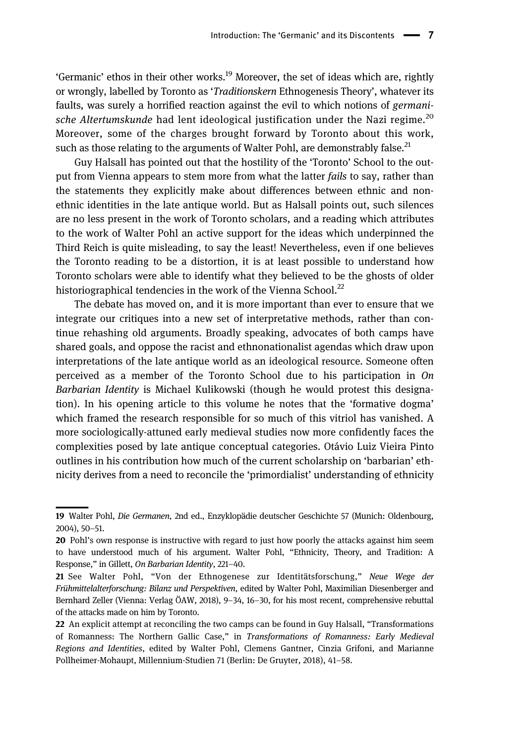'Germanic' ethos in their other works.<sup>19</sup> Moreover, the set of ideas which are, rightly or wrongly, labelled by Toronto as 'Traditionskern Ethnogenesis Theory', whatever its faults, was surely a horrified reaction against the evil to which notions of *germani*sche Altertumskunde had lent ideological justification under the Nazi regime.<sup>20</sup> Moreover, some of the charges brought forward by Toronto about this work, such as those relating to the arguments of Walter Pohl, are demonstrably false.<sup>21</sup>

Guy Halsall has pointed out that the hostility of the 'Toronto' School to the output from Vienna appears to stem more from what the latter fails to say, rather than the statements they explicitly make about differences between ethnic and nonethnic identities in the late antique world. But as Halsall points out, such silences are no less present in the work of Toronto scholars, and a reading which attributes to the work of Walter Pohl an active support for the ideas which underpinned the Third Reich is quite misleading, to say the least! Nevertheless, even if one believes the Toronto reading to be a distortion, it is at least possible to understand how Toronto scholars were able to identify what they believed to be the ghosts of older historiographical tendencies in the work of the Vienna School. $^{22}$ 

The debate has moved on, and it is more important than ever to ensure that we integrate our critiques into a new set of interpretative methods, rather than continue rehashing old arguments. Broadly speaking, advocates of both camps have shared goals, and oppose the racist and ethnonationalist agendas which draw upon interpretations of the late antique world as an ideological resource. Someone often perceived as a member of the Toronto School due to his participation in On Barbarian Identity is Michael Kulikowski (though he would protest this designation). In his opening article to this volume he notes that the 'formative dogma' which framed the research responsible for so much of this vitriol has vanished. A more sociologically-attuned early medieval studies now more confidently faces the complexities posed by late antique conceptual categories. Otávio Luiz Vieira Pinto outlines in his contribution how much of the current scholarship on 'barbarian' ethnicity derives from a need to reconcile the 'primordialist' understanding of ethnicity

<sup>19</sup> Walter Pohl, Die Germanen, 2nd ed., Enzyklopädie deutscher Geschichte 57 (Munich: Oldenbourg, 2004), 50–51.

<sup>20</sup> Pohl's own response is instructive with regard to just how poorly the attacks against him seem to have understood much of his argument. Walter Pohl, "Ethnicity, Theory, and Tradition: A Response," in Gillett, On Barbarian Identity, 221–40.

<sup>21</sup> See Walter Pohl, "Von der Ethnogenese zur Identitätsforschung," Neue Wege der Frühmittelalterforschung: Bilanz und Perspektiven, edited by Walter Pohl, Maximilian Diesenberger and Bernhard Zeller (Vienna: Verlag ÖAW, 2018), 9–34, 16–30, for his most recent, comprehensive rebuttal of the attacks made on him by Toronto.

<sup>22</sup> An explicit attempt at reconciling the two camps can be found in Guy Halsall, "Transformations" of Romanness: The Northern Gallic Case," in Transformations of Romanness: Early Medieval Regions and Identities, edited by Walter Pohl, Clemens Gantner, Cinzia Grifoni, and Marianne Pollheimer-Mohaupt, Millennium-Studien 71 (Berlin: De Gruyter, 2018), 41–58.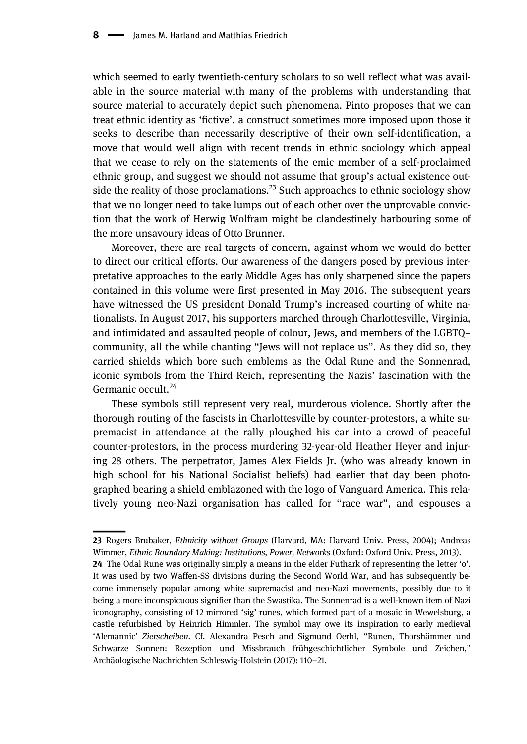which seemed to early twentieth-century scholars to so well reflect what was available in the source material with many of the problems with understanding that source material to accurately depict such phenomena. Pinto proposes that we can treat ethnic identity as 'fictive', a construct sometimes more imposed upon those it seeks to describe than necessarily descriptive of their own self-identification, a move that would well align with recent trends in ethnic sociology which appeal that we cease to rely on the statements of the emic member of a self-proclaimed ethnic group, and suggest we should not assume that group's actual existence outside the reality of those proclamations.<sup>23</sup> Such approaches to ethnic sociology show that we no longer need to take lumps out of each other over the unprovable conviction that the work of Herwig Wolfram might be clandestinely harbouring some of the more unsavoury ideas of Otto Brunner.

Moreover, there are real targets of concern, against whom we would do better to direct our critical efforts. Our awareness of the dangers posed by previous interpretative approaches to the early Middle Ages has only sharpened since the papers contained in this volume were first presented in May 2016. The subsequent years have witnessed the US president Donald Trump's increased courting of white nationalists. In August 2017, his supporters marched through Charlottesville, Virginia, and intimidated and assaulted people of colour, Jews, and members of the LGBTQ+ community, all the while chanting "Jews will not replace us". As they did so, they carried shields which bore such emblems as the Odal Rune and the Sonnenrad, iconic symbols from the Third Reich, representing the Nazis' fascination with the Germanic occult.<sup>24</sup>

These symbols still represent very real, murderous violence. Shortly after the thorough routing of the fascists in Charlottesville by counter-protestors, a white supremacist in attendance at the rally ploughed his car into a crowd of peaceful counter-protestors, in the process murdering 32-year-old Heather Heyer and injuring 28 others. The perpetrator, James Alex Fields Jr. (who was already known in high school for his National Socialist beliefs) had earlier that day been photographed bearing a shield emblazoned with the logo of Vanguard America. This relatively young neo-Nazi organisation has called for "race war", and espouses a

<sup>23</sup> Rogers Brubaker, *Ethnicity without Groups* (Harvard, MA: Harvard Univ. Press, 2004); Andreas Wimmer, Ethnic Boundary Making: Institutions, Power, Networks (Oxford: Oxford Univ. Press, 2013).

<sup>24</sup> The Odal Rune was originally simply a means in the elder Futhark of representing the letter 'o'. It was used by two Waffen-SS divisions during the Second World War, and has subsequently become immensely popular among white supremacist and neo-Nazi movements, possibly due to it being a more inconspicuous signifier than the Swastika. The Sonnenrad is a well-known item of Nazi iconography, consisting of 12 mirrored 'sig' runes, which formed part of a mosaic in Wewelsburg, a castle refurbished by Heinrich Himmler. The symbol may owe its inspiration to early medieval 'Alemannic' Zierscheiben. Cf. Alexandra Pesch and Sigmund Oerhl, "Runen, Thorshämmer und Schwarze Sonnen: Rezeption und Missbrauch frühgeschichtlicher Symbole und Zeichen," Archäologische Nachrichten Schleswig-Holstein (2017): 110–21.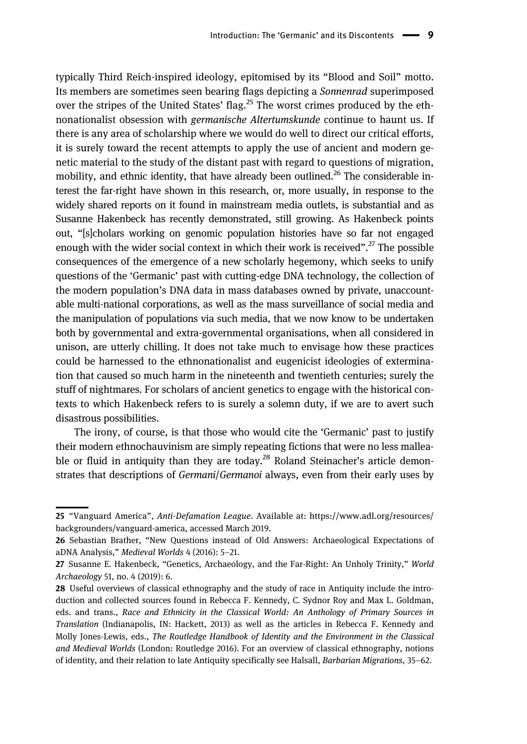typically Third Reich-inspired ideology, epitomised by its "Blood and Soil" motto. Its members are sometimes seen bearing flags depicting a *Sonnenrad* superimposed over the stripes of the United States' flag.<sup>25</sup> The worst crimes produced by the ethnonationalist obsession with germanische Altertumskunde continue to haunt us. If there is any area of scholarship where we would do well to direct our critical efforts, it is surely toward the recent attempts to apply the use of ancient and modern genetic material to the study of the distant past with regard to questions of migration, mobility, and ethnic identity, that have already been outlined.<sup>26</sup> The considerable interest the far-right have shown in this research, or, more usually, in response to the widely shared reports on it found in mainstream media outlets, is substantial and as Susanne Hakenbeck has recently demonstrated, still growing. As Hakenbeck points out, "[s]cholars working on genomic population histories have so far not engaged enough with the wider social context in which their work is received".<sup>27</sup> The possible consequences of the emergence of a new scholarly hegemony, which seeks to unify questions of the 'Germanic' past with cutting-edge DNA technology, the collection of the modern population's DNA data in mass databases owned by private, unaccountable multi-national corporations, as well as the mass surveillance of social media and the manipulation of populations via such media, that we now know to be undertaken both by governmental and extra-governmental organisations, when all considered in unison, are utterly chilling. It does not take much to envisage how these practices could be harnessed to the ethnonationalist and eugenicist ideologies of extermination that caused so much harm in the nineteenth and twentieth centuries; surely the stuff of nightmares. For scholars of ancient genetics to engage with the historical contexts to which Hakenbeck refers to is surely a solemn duty, if we are to avert such disastrous possibilities.

The irony, of course, is that those who would cite the 'Germanic' past to justify their modern ethnochauvinism are simply repeating fictions that were no less malleable or fluid in antiquity than they are today.<sup>28</sup> Roland Steinacher's article demonstrates that descriptions of Germani/Germanoi always, even from their early uses by

<sup>25</sup> "Vanguard America", Anti-Defamation League. Available at: [https://www.adl.org/resources/](https://www.adl.org/resources/backgrounders/vanguard-america) [backgrounders/vanguard-america](https://www.adl.org/resources/backgrounders/vanguard-america), accessed March 2019.

<sup>26</sup> Sebastian Brather, "New Questions instead of Old Answers: Archaeological Expectations of aDNA Analysis," Medieval Worlds 4 (2016): 5–21.

<sup>27</sup> Susanne E. Hakenbeck, "Genetics, Archaeology, and the Far-Right: An Unholy Trinity," World Archaeology 51, no. 4 (2019): 6.

<sup>28</sup> Useful overviews of classical ethnography and the study of race in Antiquity include the introduction and collected sources found in Rebecca F. Kennedy, C. Sydnor Roy and Max L. Goldman, eds. and trans., Race and Ethnicity in the Classical World: An Anthology of Primary Sources in Translation (Indianapolis, IN: Hackett, 2013) as well as the articles in Rebecca F. Kennedy and Molly Jones-Lewis, eds., The Routledge Handbook of Identity and the Environment in the Classical and Medieval Worlds (London: Routledge 2016). For an overview of classical ethnography, notions of identity, and their relation to late Antiquity specifically see Halsall, Barbarian Migrations, 35–62.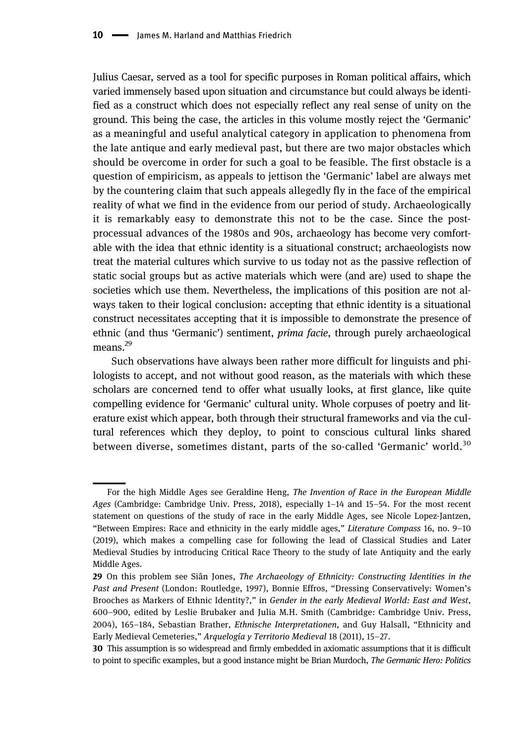Julius Caesar, served as a tool for specific purposes in Roman political affairs, which varied immensely based upon situation and circumstance but could always be identified as a construct which does not especially reflect any real sense of unity on the ground. This being the case, the articles in this volume mostly reject the 'Germanic' as a meaningful and useful analytical category in application to phenomena from the late antique and early medieval past, but there are two major obstacles which should be overcome in order for such a goal to be feasible. The first obstacle is a question of empiricism, as appeals to jettison the 'Germanic' label are always met by the countering claim that such appeals allegedly fly in the face of the empirical reality of what we find in the evidence from our period of study. Archaeologically it is remarkably easy to demonstrate this not to be the case. Since the postprocessual advances of the 1980s and 90s, archaeology has become very comfortable with the idea that ethnic identity is a situational construct; archaeologists now treat the material cultures which survive to us today not as the passive reflection of static social groups but as active materials which were (and are) used to shape the societies which use them. Nevertheless, the implications of this position are not always taken to their logical conclusion: accepting that ethnic identity is a situational construct necessitates accepting that it is impossible to demonstrate the presence of ethnic (and thus 'Germanic') sentiment, prima facie, through purely archaeological means.<sup>29</sup>

Such observations have always been rather more difficult for linguists and philologists to accept, and not without good reason, as the materials with which these scholars are concerned tend to offer what usually looks, at first glance, like quite compelling evidence for 'Germanic' cultural unity. Whole corpuses of poetry and literature exist which appear, both through their structural frameworks and via the cultural references which they deploy, to point to conscious cultural links shared between diverse, sometimes distant, parts of the so-called 'Germanic' world.<sup>30</sup>

For the high Middle Ages see Geraldine Heng, The Invention of Race in the European Middle Ages (Cambridge: Cambridge Univ. Press, 2018), especially 1–14 and 15–54. For the most recent statement on questions of the study of race in the early Middle Ages, see Nicole Lopez-Jantzen, "Between Empires: Race and ethnicity in the early middle ages," Literature Compass 16, no. 9–10 (2019), which makes a compelling case for following the lead of Classical Studies and Later Medieval Studies by introducing Critical Race Theory to the study of late Antiquity and the early Middle Ages.

<sup>29</sup> On this problem see Siân Jones, The Archaeology of Ethnicity: Constructing Identities in the Past and Present (London: Routledge, 1997), Bonnie Effros, "Dressing Conservatively: Women's Brooches as Markers of Ethnic Identity?," in Gender in the early Medieval World: East and West, 600–900, edited by Leslie Brubaker and Julia M.H. Smith (Cambridge: Cambridge Univ. Press, 2004), 165–184, Sebastian Brather, Ethnische Interpretationen, and Guy Halsall, "Ethnicity and Early Medieval Cemeteries," Arquelogía y Territorio Medieval 18 (2011), 15–27.

<sup>30</sup> This assumption is so widespread and firmly embedded in axiomatic assumptions that it is difficult to point to specific examples, but a good instance might be Brian Murdoch, The Germanic Hero: Politics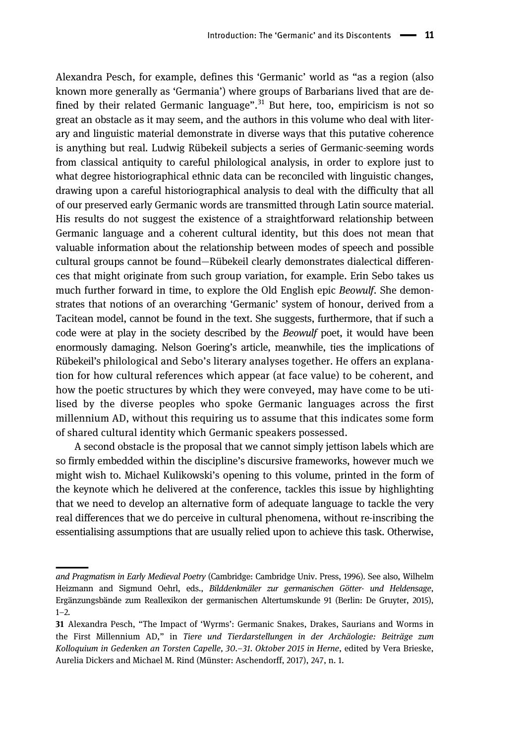Alexandra Pesch, for example, defines this 'Germanic' world as "as a region (also known more generally as 'Germania') where groups of Barbarians lived that are defined by their related Germanic language".<sup>31</sup> But here, too, empiricism is not so great an obstacle as it may seem, and the authors in this volume who deal with literary and linguistic material demonstrate in diverse ways that this putative coherence is anything but real. Ludwig Rübekeil subjects a series of Germanic-seeming words from classical antiquity to careful philological analysis, in order to explore just to what degree historiographical ethnic data can be reconciled with linguistic changes, drawing upon a careful historiographical analysis to deal with the difficulty that all of our preserved early Germanic words are transmitted through Latin source material. His results do not suggest the existence of a straightforward relationship between Germanic language and a coherent cultural identity, but this does not mean that valuable information about the relationship between modes of speech and possible cultural groups cannot be found—Rübekeil clearly demonstrates dialectical differences that might originate from such group variation, for example. Erin Sebo takes us much further forward in time, to explore the Old English epic Beowulf. She demonstrates that notions of an overarching 'Germanic' system of honour, derived from a Tacitean model, cannot be found in the text. She suggests, furthermore, that if such a code were at play in the society described by the Beowulf poet, it would have been enormously damaging. Nelson Goering's article, meanwhile, ties the implications of Rübekeil's philological and Sebo's literary analyses together. He offers an explanation for how cultural references which appear (at face value) to be coherent, and how the poetic structures by which they were conveyed, may have come to be utilised by the diverse peoples who spoke Germanic languages across the first millennium AD, without this requiring us to assume that this indicates some form of shared cultural identity which Germanic speakers possessed.

A second obstacle is the proposal that we cannot simply jettison labels which are so firmly embedded within the discipline's discursive frameworks, however much we might wish to. Michael Kulikowski's opening to this volume, printed in the form of the keynote which he delivered at the conference, tackles this issue by highlighting that we need to develop an alternative form of adequate language to tackle the very real differences that we do perceive in cultural phenomena, without re-inscribing the essentialising assumptions that are usually relied upon to achieve this task. Otherwise,

and Pragmatism in Early Medieval Poetry (Cambridge: Cambridge Univ. Press, 1996). See also, Wilhelm Heizmann and Sigmund Oehrl, eds., Bilddenkmäler zur germanischen Götter- und Heldensage, Ergänzungsbände zum Reallexikon der germanischen Altertumskunde 91 (Berlin: De Gruyter, 2015),  $1-2.$ 

<sup>31</sup> Alexandra Pesch, "The Impact of 'Wyrms': Germanic Snakes, Drakes, Saurians and Worms in the First Millennium AD," in Tiere und Tierdarstellungen in der Archäologie: Beiträge zum Kolloquium in Gedenken an Torsten Capelle, 30.–31. Oktober 2015 in Herne, edited by Vera Brieske, Aurelia Dickers and Michael M. Rind (Münster: Aschendorff, 2017), 247, n. 1.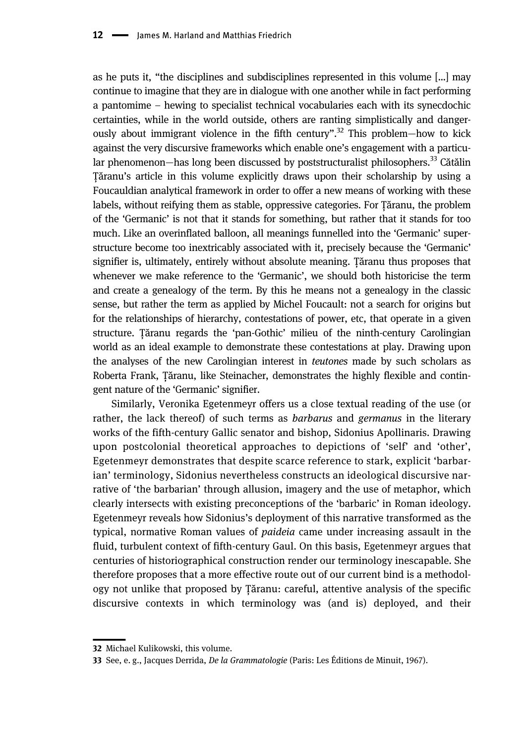as he puts it, "the disciplines and subdisciplines represented in this volume […] may continue to imagine that they are in dialogue with one another while in fact performing a pantomime – hewing to specialist technical vocabularies each with its synecdochic certainties, while in the world outside, others are ranting simplistically and dangerously about immigrant violence in the fifth century".<sup>32</sup> This problem-how to kick against the very discursive frameworks which enable one's engagement with a particular phenomenon—has long been discussed by poststructuralist philosophers.<sup>33</sup> Cătălin Țăranu's article in this volume explicitly draws upon their scholarship by using a Foucauldian analytical framework in order to offer a new means of working with these labels, without reifying them as stable, oppressive categories. For Țăranu, the problem of the 'Germanic' is not that it stands for something, but rather that it stands for too much. Like an overinflated balloon, all meanings funnelled into the 'Germanic' superstructure become too inextricably associated with it, precisely because the 'Germanic' signifier is, ultimately, entirely without absolute meaning. Țăranu thus proposes that whenever we make reference to the 'Germanic', we should both historicise the term and create a genealogy of the term. By this he means not a genealogy in the classic sense, but rather the term as applied by Michel Foucault: not a search for origins but for the relationships of hierarchy, contestations of power, etc, that operate in a given structure. Țăranu regards the 'pan-Gothic' milieu of the ninth-century Carolingian world as an ideal example to demonstrate these contestations at play. Drawing upon the analyses of the new Carolingian interest in teutones made by such scholars as Roberta Frank, Țăranu, like Steinacher, demonstrates the highly flexible and contingent nature of the 'Germanic' signifier.

Similarly, Veronika Egetenmeyr offers us a close textual reading of the use (or rather, the lack thereof) of such terms as *barbarus* and *germanus* in the literary works of the fifth-century Gallic senator and bishop, Sidonius Apollinaris. Drawing upon postcolonial theoretical approaches to depictions of 'self' and 'other', Egetenmeyr demonstrates that despite scarce reference to stark, explicit 'barbarian' terminology, Sidonius nevertheless constructs an ideological discursive narrative of 'the barbarian' through allusion, imagery and the use of metaphor, which clearly intersects with existing preconceptions of the 'barbaric' in Roman ideology. Egetenmeyr reveals how Sidonius's deployment of this narrative transformed as the typical, normative Roman values of paideia came under increasing assault in the fluid, turbulent context of fifth-century Gaul. On this basis, Egetenmeyr argues that centuries of historiographical construction render our terminology inescapable. She therefore proposes that a more effective route out of our current bind is a methodology not unlike that proposed by Țăranu: careful, attentive analysis of the specific discursive contexts in which terminology was (and is) deployed, and their

<sup>32</sup> Michael Kulikowski, this volume.

<sup>33</sup> See, e. g., Jacques Derrida, De la Grammatologie (Paris: Les Éditions de Minuit, 1967).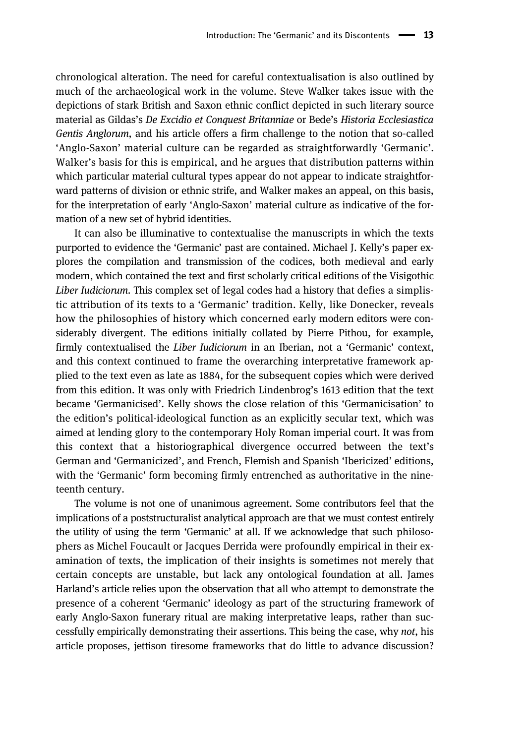chronological alteration. The need for careful contextualisation is also outlined by much of the archaeological work in the volume. Steve Walker takes issue with the depictions of stark British and Saxon ethnic conflict depicted in such literary source material as Gildas's De Excidio et Conquest Britanniae or Bede's Historia Ecclesiastica Gentis Anglorum, and his article offers a firm challenge to the notion that so-called 'Anglo-Saxon' material culture can be regarded as straightforwardly 'Germanic'. Walker's basis for this is empirical, and he argues that distribution patterns within which particular material cultural types appear do not appear to indicate straightforward patterns of division or ethnic strife, and Walker makes an appeal, on this basis, for the interpretation of early 'Anglo-Saxon' material culture as indicative of the formation of a new set of hybrid identities.

It can also be illuminative to contextualise the manuscripts in which the texts purported to evidence the 'Germanic' past are contained. Michael J. Kelly's paper explores the compilation and transmission of the codices, both medieval and early modern, which contained the text and first scholarly critical editions of the Visigothic Liber Iudiciorum. This complex set of legal codes had a history that defies a simplistic attribution of its texts to a 'Germanic' tradition. Kelly, like Donecker, reveals how the philosophies of history which concerned early modern editors were considerably divergent. The editions initially collated by Pierre Pithou, for example, firmly contextualised the Liber Iudiciorum in an Iberian, not a 'Germanic' context, and this context continued to frame the overarching interpretative framework applied to the text even as late as 1884, for the subsequent copies which were derived from this edition. It was only with Friedrich Lindenbrog's 1613 edition that the text became 'Germanicised'. Kelly shows the close relation of this 'Germanicisation' to the edition's political-ideological function as an explicitly secular text, which was aimed at lending glory to the contemporary Holy Roman imperial court. It was from this context that a historiographical divergence occurred between the text's German and 'Germanicized', and French, Flemish and Spanish 'Ibericized' editions, with the 'Germanic' form becoming firmly entrenched as authoritative in the nineteenth century.

The volume is not one of unanimous agreement. Some contributors feel that the implications of a poststructuralist analytical approach are that we must contest entirely the utility of using the term 'Germanic' at all. If we acknowledge that such philosophers as Michel Foucault or Jacques Derrida were profoundly empirical in their examination of texts, the implication of their insights is sometimes not merely that certain concepts are unstable, but lack any ontological foundation at all. James Harland's article relies upon the observation that all who attempt to demonstrate the presence of a coherent 'Germanic' ideology as part of the structuring framework of early Anglo-Saxon funerary ritual are making interpretative leaps, rather than successfully empirically demonstrating their assertions. This being the case, why not, his article proposes, jettison tiresome frameworks that do little to advance discussion?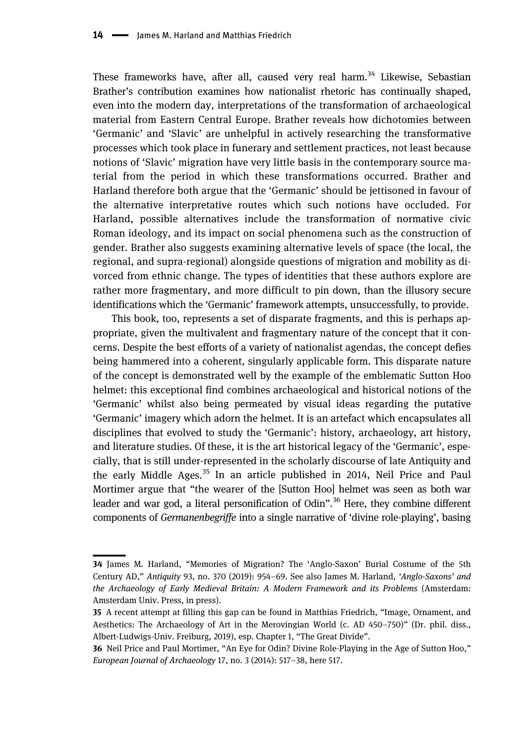These frameworks have, after all, caused very real harm.<sup>34</sup> Likewise, Sebastian Brather's contribution examines how nationalist rhetoric has continually shaped, even into the modern day, interpretations of the transformation of archaeological material from Eastern Central Europe. Brather reveals how dichotomies between 'Germanic' and 'Slavic' are unhelpful in actively researching the transformative processes which took place in funerary and settlement practices, not least because notions of 'Slavic' migration have very little basis in the contemporary source material from the period in which these transformations occurred. Brather and Harland therefore both argue that the 'Germanic' should be jettisoned in favour of the alternative interpretative routes which such notions have occluded. For Harland, possible alternatives include the transformation of normative civic Roman ideology, and its impact on social phenomena such as the construction of gender. Brather also suggests examining alternative levels of space (the local, the regional, and supra-regional) alongside questions of migration and mobility as divorced from ethnic change. The types of identities that these authors explore are rather more fragmentary, and more difficult to pin down, than the illusory secure identifications which the 'Germanic' framework attempts, unsuccessfully, to provide.

This book, too, represents a set of disparate fragments, and this is perhaps appropriate, given the multivalent and fragmentary nature of the concept that it concerns. Despite the best efforts of a variety of nationalist agendas, the concept defies being hammered into a coherent, singularly applicable form. This disparate nature of the concept is demonstrated well by the example of the emblematic Sutton Hoo helmet: this exceptional find combines archaeological and historical notions of the 'Germanic' whilst also being permeated by visual ideas regarding the putative 'Germanic' imagery which adorn the helmet. It is an artefact which encapsulates all disciplines that evolved to study the 'Germanic': history, archaeology, art history, and literature studies. Of these, it is the art historical legacy of the 'Germanic', especially, that is still under-represented in the scholarly discourse of late Antiquity and the early Middle Ages.<sup>35</sup> In an article published in 2014, Neil Price and Paul Mortimer argue that "the wearer of the [Sutton Hoo] helmet was seen as both war leader and war god, a literal personification of Odin". <sup>36</sup> Here, they combine different components of Germanenbegriffe into a single narrative of 'divine role-playing', basing

<sup>34</sup> James M. Harland, "Memories of Migration? The 'Anglo-Saxon' Burial Costume of the 5th Century AD," Antiquity 93, no. 370 (2019): 954–69. See also James M. Harland, 'Anglo-Saxons' and the Archaeology of Early Medieval Britain: A Modern Framework and its Problems (Amsterdam: Amsterdam Univ. Press, in press).

<sup>35</sup> A recent attempt at filling this gap can be found in Matthias Friedrich, "Image, Ornament, and Aesthetics: The Archaeology of Art in the Merovingian World (c. AD 450–750)" (Dr. phil. diss., Albert-Ludwigs-Univ. Freiburg, 2019), esp. Chapter 1, "The Great Divide".

<sup>36</sup> Neil Price and Paul Mortimer, "An Eye for Odin? Divine Role-Playing in the Age of Sutton Hoo," European Journal of Archaeology 17, no. 3 (2014): 517–38, here 517.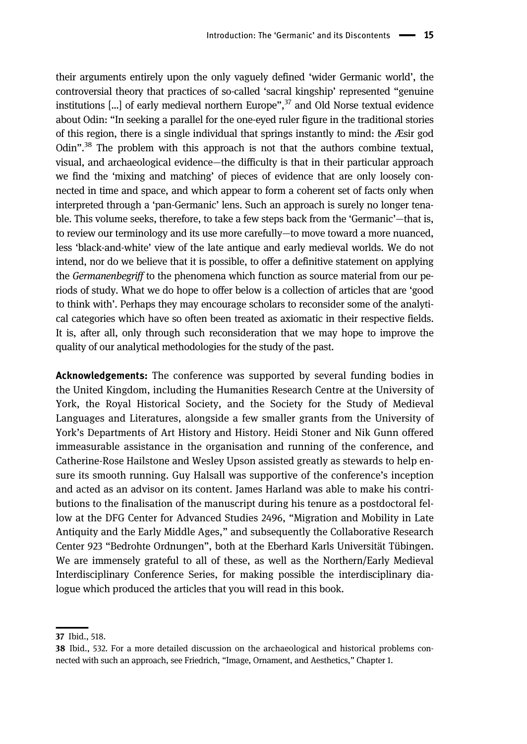their arguments entirely upon the only vaguely defined 'wider Germanic world', the controversial theory that practices of so-called 'sacral kingship' represented "genuine institutions […] of early medieval northern Europe", <sup>37</sup> and Old Norse textual evidence about Odin: "In seeking a parallel for the one-eyed ruler figure in the traditional stories of this region, there is a single individual that springs instantly to mind: the Æsir god Odin".<sup>38</sup> The problem with this approach is not that the authors combine textual, visual, and archaeological evidence—the difficulty is that in their particular approach we find the 'mixing and matching' of pieces of evidence that are only loosely connected in time and space, and which appear to form a coherent set of facts only when interpreted through a 'pan-Germanic' lens. Such an approach is surely no longer tenable. This volume seeks, therefore, to take a few steps back from the 'Germanic'—that is, to review our terminology and its use more carefully—to move toward a more nuanced, less 'black-and-white' view of the late antique and early medieval worlds. We do not intend, nor do we believe that it is possible, to offer a definitive statement on applying the *Germanenbegriff* to the phenomena which function as source material from our periods of study. What we do hope to offer below is a collection of articles that are 'good to think with'. Perhaps they may encourage scholars to reconsider some of the analytical categories which have so often been treated as axiomatic in their respective fields. It is, after all, only through such reconsideration that we may hope to improve the quality of our analytical methodologies for the study of the past.

Acknowledgements: The conference was supported by several funding bodies in the United Kingdom, including the Humanities Research Centre at the University of York, the Royal Historical Society, and the Society for the Study of Medieval Languages and Literatures, alongside a few smaller grants from the University of York's Departments of Art History and History. Heidi Stoner and Nik Gunn offered immeasurable assistance in the organisation and running of the conference, and Catherine-Rose Hailstone and Wesley Upson assisted greatly as stewards to help ensure its smooth running. Guy Halsall was supportive of the conference's inception and acted as an advisor on its content. James Harland was able to make his contributions to the finalisation of the manuscript during his tenure as a postdoctoral fellow at the DFG Center for Advanced Studies 2496, "Migration and Mobility in Late Antiquity and the Early Middle Ages," and subsequently the Collaborative Research Center 923 "Bedrohte Ordnungen", both at the Eberhard Karls Universität Tübingen. We are immensely grateful to all of these, as well as the Northern/Early Medieval Interdisciplinary Conference Series, for making possible the interdisciplinary dialogue which produced the articles that you will read in this book.

<sup>37</sup> Ibid., 518.

<sup>38</sup> Ibid., 532. For a more detailed discussion on the archaeological and historical problems connected with such an approach, see Friedrich, "Image, Ornament, and Aesthetics," Chapter 1.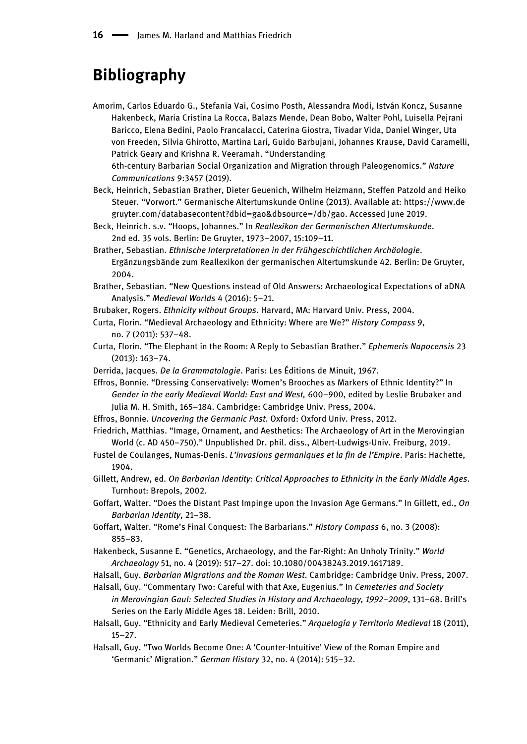#### Bibliography

Amorim, Carlos Eduardo G., Stefania Vai, Cosimo Posth, Alessandra Modi, István Koncz, Susanne Hakenbeck, Maria Cristina La Rocca, Balazs Mende, Dean Bobo, Walter Pohl, Luisella Pejrani Baricco, Elena Bedini, Paolo Francalacci, Caterina Giostra, Tivadar Vida, Daniel Winger, Uta von Freeden, Silvia Ghirotto, Martina Lari, Guido Barbujani, Johannes Krause, David Caramelli, Patrick Geary and Krishna R. Veeramah. "Understanding 6th-century Barbarian Social Organization and Migration through Paleogenomics." Nature

Communications 9:3457 (2019). Beck, Heinrich, Sebastian Brather, Dieter Geuenich, Wilhelm Heizmann, Steffen Patzold and Heiko Steuer. "Vorwort." Germanische Altertumskunde Online (2013). Available at: [https://www.de](https://www.degruyter.com/databasecontent?dbid%3Dgao%26dbsource%3D/db/gao)

[gruyter.com/databasecontent?dbid=gao&dbsource=/db/gao.](https://www.degruyter.com/databasecontent?dbid%3Dgao%26dbsource%3D/db/gao) Accessed June 2019. Beck, Heinrich. s.v. "Hoops, Johannes." In Reallexikon der Germanischen Altertumskunde.

2nd ed. 35 vols. Berlin: De Gruyter, 1973–2007, 15:109–11.

- Brather, Sebastian. Ethnische Interpretationen in der Frühgeschichtlichen Archäologie. Ergänzungsbände zum Reallexikon der germanischen Altertumskunde 42. Berlin: De Gruyter, 2004.
- Brather, Sebastian. "New Questions instead of Old Answers: Archaeological Expectations of aDNA Analysis." Medieval Worlds 4 (2016): 5–21.
- Brubaker, Rogers. Ethnicity without Groups. Harvard, MA: Harvard Univ. Press, 2004.
- Curta, Florin. "Medieval Archaeology and Ethnicity: Where are We?" History Compass 9, no. 7 (2011): 537–48.
- Curta, Florin. "The Elephant in the Room: A Reply to Sebastian Brather." Ephemeris Napocensis 23 (2013): 163–74.
- Derrida, Jacques. De la Grammatologie. Paris: Les Éditions de Minuit, 1967.

Effros, Bonnie. "Dressing Conservatively: Women's Brooches as Markers of Ethnic Identity?" In Gender in the early Medieval World: East and West, 600–900, edited by Leslie Brubaker and Julia M. H. Smith, 165–184. Cambridge: Cambridge Univ. Press, 2004.

Effros, Bonnie. Uncovering the Germanic Past. Oxford: Oxford Univ. Press, 2012.

Friedrich, Matthias. "Image, Ornament, and Aesthetics: The Archaeology of Art in the Merovingian World (c. AD 450–750)." Unpublished Dr. phil. diss., Albert-Ludwigs-Univ. Freiburg, 2019.

- Fustel de Coulanges, Numas-Denis. L'invasions germaniques et la fin de l'Empire. Paris: Hachette, 1904.
- Gillett, Andrew, ed. On Barbarian Identity: Critical Approaches to Ethnicity in the Early Middle Ages. Turnhout: Brepols, 2002.
- Goffart, Walter. "Does the Distant Past Impinge upon the Invasion Age Germans." In Gillett, ed., On Barbarian Identity, 21–38.
- Goffart, Walter. "Rome's Final Conquest: The Barbarians." History Compass 6, no. 3 (2008): 855–83.
- Hakenbeck, Susanne E. "Genetics, Archaeology, and the Far-Right: An Unholy Trinity." World Archaeology 51, no. 4 (2019): 517–27. doi: 10.1080/00438243.2019.1617189.

Halsall, Guy. Barbarian Migrations and the Roman West. Cambridge: Cambridge Univ. Press, 2007.

- Halsall, Guy. "Commentary Two: Careful with that Axe, Eugenius." In Cemeteries and Society in Merovingian Gaul: Selected Studies in History and Archaeology, 1992–2009, 131–68. Brill's Series on the Early Middle Ages 18. Leiden: Brill, 2010.
- Halsall, Guy. "Ethnicity and Early Medieval Cemeteries." Arquelogía y Territorio Medieval 18 (2011), 15–27.
- Halsall, Guy. "Two Worlds Become One: A 'Counter-Intuitive' View of the Roman Empire and 'Germanic' Migration." German History 32, no. 4 (2014): 515–32.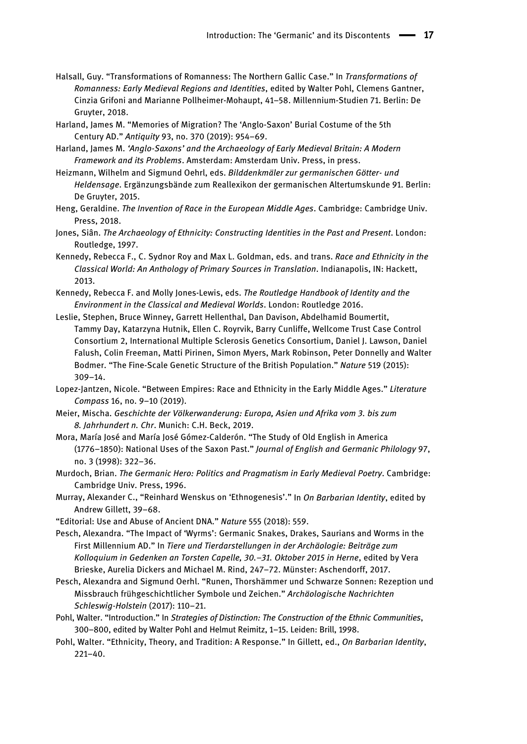- Halsall, Guy. "Transformations of Romanness: The Northern Gallic Case." In Transformations of Romanness: Early Medieval Regions and Identities, edited by Walter Pohl, Clemens Gantner, Cinzia Grifoni and Marianne Pollheimer-Mohaupt, 41–58. Millennium-Studien 71. Berlin: De Gruyter, 2018.
- Harland, James M. "Memories of Migration? The 'Anglo-Saxon' Burial Costume of the 5th Century AD." Antiquity 93, no. 370 (2019): 954–69.
- Harland, James M. 'Anglo-Saxons' and the Archaeology of Early Medieval Britain: A Modern Framework and its Problems. Amsterdam: Amsterdam Univ. Press, in press.
- Heizmann, Wilhelm and Sigmund Oehrl, eds. Bilddenkmäler zur germanischen Götter- und Heldensage. Ergänzungsbände zum Reallexikon der germanischen Altertumskunde 91. Berlin: De Gruyter, 2015.
- Heng, Geraldine. The Invention of Race in the European Middle Ages. Cambridge: Cambridge Univ. Press, 2018.
- Jones, Siân. The Archaeology of Ethnicity: Constructing Identities in the Past and Present. London: Routledge, 1997.
- Kennedy, Rebecca F., C. Sydnor Roy and Max L. Goldman, eds. and trans. Race and Ethnicity in the Classical World: An Anthology of Primary Sources in Translation. Indianapolis, IN: Hackett, 2013.
- Kennedy, Rebecca F. and Molly Jones-Lewis, eds. The Routledge Handbook of Identity and the Environment in the Classical and Medieval Worlds. London: Routledge 2016.
- Leslie, Stephen, Bruce Winney, Garrett Hellenthal, Dan Davison, Abdelhamid Boumertit, Tammy Day, Katarzyna Hutnik, Ellen C. Royrvik, Barry Cunliffe, Wellcome Trust Case Control Consortium 2, International Multiple Sclerosis Genetics Consortium, Daniel J. Lawson, Daniel Falush, Colin Freeman, Matti Pirinen, Simon Myers, Mark Robinson, Peter Donnelly and Walter Bodmer. "The Fine-Scale Genetic Structure of the British Population." Nature 519 (2015): 309–14.
- Lopez-Jantzen, Nicole. "Between Empires: Race and Ethnicity in the Early Middle Ages." Literature Compass 16, no. 9–10 (2019).
- Meier, Mischa. Geschichte der Völkerwanderung: Europa, Asien und Afrika vom 3. bis zum 8. Jahrhundert n. Chr. Munich: C.H. Beck, 2019.
- Mora, María José and María José Gómez-Calderón. "The Study of Old English in America (1776–1850): National Uses of the Saxon Past." Journal of English and Germanic Philology 97, no. 3 (1998): 322–36.
- Murdoch, Brian. The Germanic Hero: Politics and Pragmatism in Early Medieval Poetry. Cambridge: Cambridge Univ. Press, 1996.
- Murray, Alexander C., "Reinhard Wenskus on 'Ethnogenesis'." In On Barbarian Identity, edited by Andrew Gillett, 39–68.
- "Editorial: Use and Abuse of Ancient DNA." Nature 555 (2018): 559.
- Pesch, Alexandra. "The Impact of 'Wyrms': Germanic Snakes, Drakes, Saurians and Worms in the First Millennium AD." In Tiere und Tierdarstellungen in der Archäologie: Beiträge zum Kolloquium in Gedenken an Torsten Capelle, 30.–31. Oktober 2015 in Herne, edited by Vera Brieske, Aurelia Dickers and Michael M. Rind, 247–72. Münster: Aschendorff, 2017.
- Pesch, Alexandra and Sigmund Oerhl. "Runen, Thorshämmer und Schwarze Sonnen: Rezeption und Missbrauch frühgeschichtlicher Symbole und Zeichen." Archäologische Nachrichten Schleswig-Holstein (2017): 110–21.
- Pohl, Walter. "Introduction." In Strategies of Distinction: The Construction of the Ethnic Communities, 300–800, edited by Walter Pohl and Helmut Reimitz, 1–15. Leiden: Brill, 1998.
- Pohl, Walter. "Ethnicity, Theory, and Tradition: A Response." In Gillett, ed., On Barbarian Identity, 221–40.